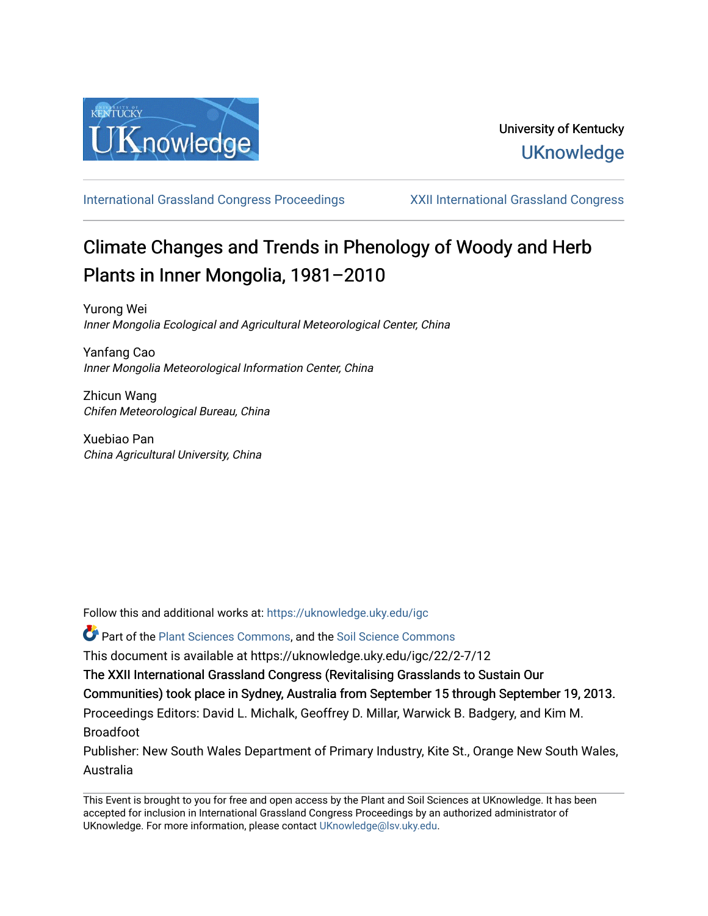

[International Grassland Congress Proceedings](https://uknowledge.uky.edu/igc) [XXII International Grassland Congress](https://uknowledge.uky.edu/igc/22) 

# Climate Changes and Trends in Phenology of Woody and Herb Plants in Inner Mongolia, 1981–2010

Yurong Wei Inner Mongolia Ecological and Agricultural Meteorological Center, China

Yanfang Cao Inner Mongolia Meteorological Information Center, China

Zhicun Wang Chifen Meteorological Bureau, China

Xuebiao Pan China Agricultural University, China

Follow this and additional works at: [https://uknowledge.uky.edu/igc](https://uknowledge.uky.edu/igc?utm_source=uknowledge.uky.edu%2Figc%2F22%2F2-7%2F12&utm_medium=PDF&utm_campaign=PDFCoverPages) 

Part of the [Plant Sciences Commons](http://network.bepress.com/hgg/discipline/102?utm_source=uknowledge.uky.edu%2Figc%2F22%2F2-7%2F12&utm_medium=PDF&utm_campaign=PDFCoverPages), and the [Soil Science Commons](http://network.bepress.com/hgg/discipline/163?utm_source=uknowledge.uky.edu%2Figc%2F22%2F2-7%2F12&utm_medium=PDF&utm_campaign=PDFCoverPages) 

This document is available at https://uknowledge.uky.edu/igc/22/2-7/12

The XXII International Grassland Congress (Revitalising Grasslands to Sustain Our

Communities) took place in Sydney, Australia from September 15 through September 19, 2013.

Proceedings Editors: David L. Michalk, Geoffrey D. Millar, Warwick B. Badgery, and Kim M. Broadfoot

Publisher: New South Wales Department of Primary Industry, Kite St., Orange New South Wales, Australia

This Event is brought to you for free and open access by the Plant and Soil Sciences at UKnowledge. It has been accepted for inclusion in International Grassland Congress Proceedings by an authorized administrator of UKnowledge. For more information, please contact [UKnowledge@lsv.uky.edu](mailto:UKnowledge@lsv.uky.edu).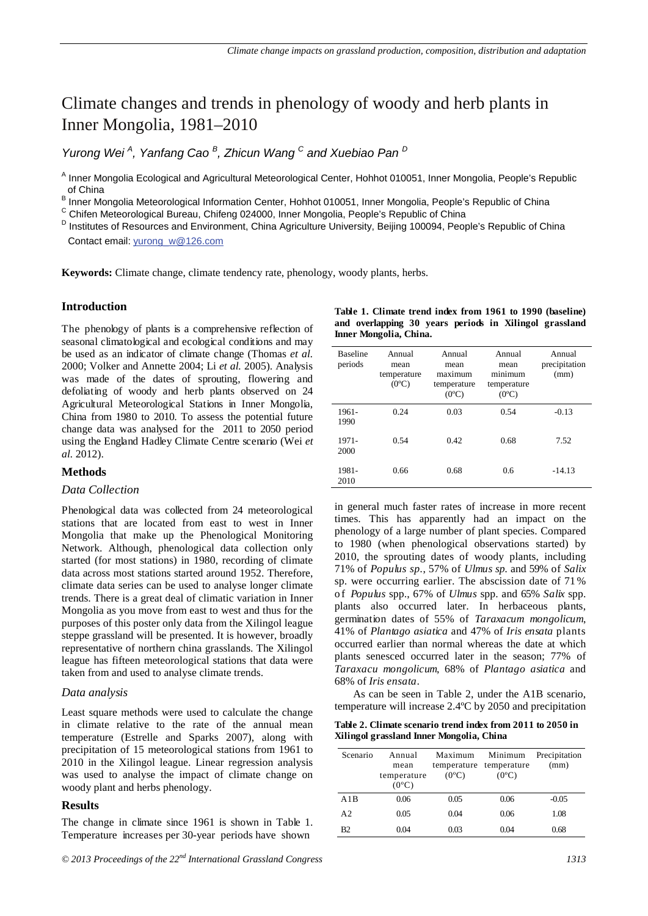# Climate changes and trends in phenology of woody and herb plants in Inner Mongolia, 1981–2010

*Yurong Wei <sup>A</sup> , Yanfang Cao <sup>B</sup> , Zhicun Wang <sup>C</sup> and Xuebiao Pan <sup>D</sup>*

<sup>A</sup> Inner Mongolia Ecological and Agricultural Meteorological Center, Hohhot 010051, Inner Mongolia, People's Republic of China

B Inner Mongolia Meteorological Information Center, Hohhot 010051, Inner Mongolia, People's Republic of China<br>C Chifen Meteorological Bureau, Chifeng 024000, Inner Mongolia, People's Republic of China

<sup>D</sup> Institutes of Resources and Environment, China Agriculture University, Beijing 100094, People's Republic of China Contact email: yurong\_w@126.com

**Keywords:** Climate change, climate tendency rate, phenology, woody plants, herbs.

# **Introduction**

The phenology of plants is a comprehensive reflection of seasonal climatological and ecological conditions and may be used as an indicator of climate change (Thomas *et al.* 2000; Volker and Annette 2004; Li *et al.* 2005). Analysis was made of the dates of sprouting, flowering and defoliating of woody and herb plants observed on 24 Agricultural Meteorological Stations in Inner Mongolia, China from 1980 to 2010. To assess the potential future change data was analysed for the 2011 to 2050 period using the England Hadley Climate Centre scenario (Wei *et al.* 2012).

# **Methods**

#### *Data Collection*

Phenological data was collected from 24 meteorological stations that are located from east to west in Inner Mongolia that make up the Phenological Monitoring Network. Although, phenological data collection only started (for most stations) in 1980, recording of climate data across most stations started around 1952. Therefore, climate data series can be used to analyse longer climate trends. There is a great deal of climatic variation in Inner Mongolia as you move from east to west and thus for the purposes of this poster only data from the Xilingol league steppe grassland will be presented. It is however, broadly representative of northern china grasslands. The Xilingol league has fifteen meteorological stations that data were taken from and used to analyse climate trends.

#### *Data analysis*

Least square methods were used to calculate the change in climate relative to the rate of the annual mean temperature (Estrelle and Sparks 2007), along with precipitation of 15 meteorological stations from 1961 to 2010 in the Xilingol league. Linear regression analysis was used to analyse the impact of climate change on woody plant and herbs phenology.

#### **Results**

The change in climate since 1961 is shown in Table 1. Temperature increases per 30-year periods have shown

|                            | Inner Mongolia, China.        | Table 1. Climate trend index from 1961 to 1990 (baseline)<br>and overlapping 30 years periods in Xilingol grassland |                           |                                 |
|----------------------------|-------------------------------|---------------------------------------------------------------------------------------------------------------------|---------------------------|---------------------------------|
| <b>Baseline</b><br>periods | Annual<br>mean<br>temperature | Annual<br>mean<br>maximum                                                                                           | Annual<br>mean<br>minimum | Annual<br>precipitation<br>(mm) |

| Daschne<br>periods | .<br>mean<br>temperature<br>$(0^{\circ}C)$ | <u>, millaul</u><br>mean<br>maximum<br>temperature<br>$(0^{\circ}C)$ | <u>, ,,,,,,,,,,</u><br>mean<br>minimum<br>temperature<br>$(0^{\circ}C)$ | .<br>precipitation<br>(mm) |
|--------------------|--------------------------------------------|----------------------------------------------------------------------|-------------------------------------------------------------------------|----------------------------|
| 1961-<br>1990      | 0.24                                       | 0.03                                                                 | 0.54                                                                    | $-0.13$                    |
| 1971-<br>2000      | 0.54                                       | 0.42                                                                 | 0.68                                                                    | 7.52                       |
| 1981-<br>2010      | 0.66                                       | 0.68                                                                 | 0.6                                                                     | $-14.13$                   |

in general much faster rates of increase in more recent times. This has apparently had an impact on the phenology of a large number of plant species. Compared to 1980 (when phenological observations started) by 2010, the sprouting dates of woody plants, including 71% of *Populus sp.*, 57% of *Ulmus sp.* and 59% of *Salix* sp. were occurring earlier. The abscission date of 71 % of *Populus* spp., 67% of *Ulmus* spp. and 65% *Salix* spp. plants also occurred later. In herbaceous plants, germination dates of 55% of *Taraxacum mongolicum*, 41% of *Plantago asiatica* and 47% of *Iris ensata* plants occurred earlier than normal whereas the date at which plants senesced occurred later in the season; 77% of *Taraxacu mongolicum*, 68% of *Plantago asiatica* and 68% of *Iris ensata*.

As can be seen in Table 2, under the A1B scenario, temperature will increase 2.4ºC by 2050 and precipitation

**Table 2. Climate scenario trend index from 2011 to 2050 in Xilingol grassland Inner Mongolia, China** 

| Scenario       | Annual<br>mean<br>temperature<br>$(0^{\circ}C)$ | Maximum<br>temperature<br>$(0^{\circ}C)$ | Minimum<br>temperature<br>$(0^{\circ}C)$ | Precipitation<br>(mm) |
|----------------|-------------------------------------------------|------------------------------------------|------------------------------------------|-----------------------|
| A1B            | 0.06                                            | 0.05                                     | 0.06                                     | $-0.05$               |
| A <sub>2</sub> | 0.05                                            | 0.04                                     | 0.06                                     | 1.08                  |
| B <sub>2</sub> | 0.04                                            | 0.03                                     | 0.04                                     | 0.68                  |